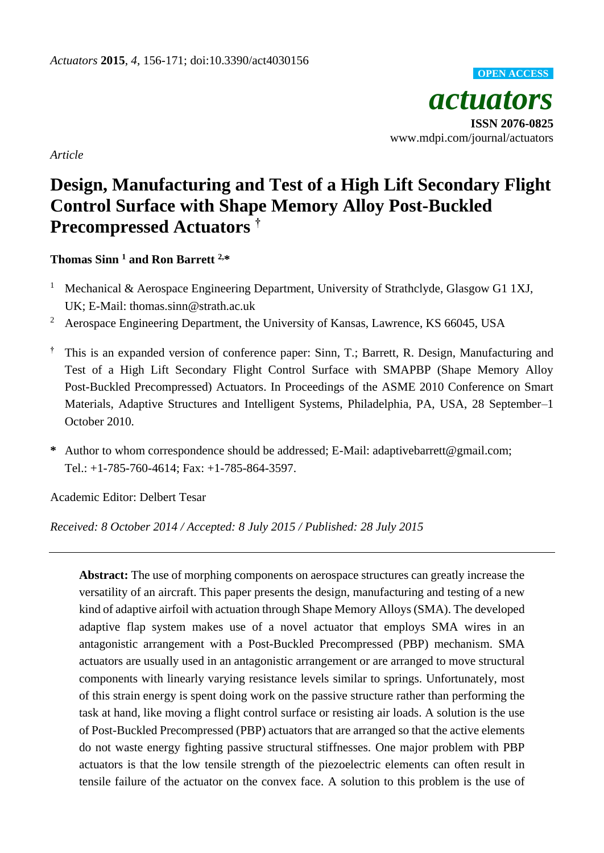

*Article*

# **Design, Manufacturing and Test of a High Lift Secondary Flight Control Surface with Shape Memory Alloy Post-Buckled Precompressed Actuators †**

# **Thomas Sinn <sup>1</sup> and Ron Barrett 2,\***

- <sup>1</sup> Mechanical & Aerospace Engineering Department, University of Strathclyde, Glasgow G1 1XJ, UK; E-Mail: thomas.sinn@strath.ac.uk
- <sup>2</sup> Aerospace Engineering Department, the University of Kansas, Lawrence, KS 66045, USA
- **†** This is an expanded version of conference paper: Sinn, T.; Barrett, R. Design, Manufacturing and Test of a High Lift Secondary Flight Control Surface with SMAPBP (Shape Memory Alloy Post-Buckled Precompressed) Actuators. In Proceedings of the ASME 2010 Conference on Smart Materials, Adaptive Structures and Intelligent Systems, Philadelphia, PA, USA, 28 September–1 October 2010.
- **\*** Author to whom correspondence should be addressed; E-Mail: adaptivebarrett@gmail.com; Tel.: +1-785-760-4614; Fax: +1-785-864-3597.

Academic Editor: Delbert Tesar

*Received: 8 October 2014 / Accepted: 8 July 2015 / Published: 28 July 2015*

**Abstract:** The use of morphing components on aerospace structures can greatly increase the versatility of an aircraft. This paper presents the design, manufacturing and testing of a new kind of adaptive airfoil with actuation through Shape Memory Alloys (SMA). The developed adaptive flap system makes use of a novel actuator that employs SMA wires in an antagonistic arrangement with a Post-Buckled Precompressed (PBP) mechanism. SMA actuators are usually used in an antagonistic arrangement or are arranged to move structural components with linearly varying resistance levels similar to springs. Unfortunately, most of this strain energy is spent doing work on the passive structure rather than performing the task at hand, like moving a flight control surface or resisting air loads. A solution is the use of Post-Buckled Precompressed (PBP) actuators that are arranged so that the active elements do not waste energy fighting passive structural stiffnesses. One major problem with PBP actuators is that the low tensile strength of the piezoelectric elements can often result in tensile failure of the actuator on the convex face. A solution to this problem is the use of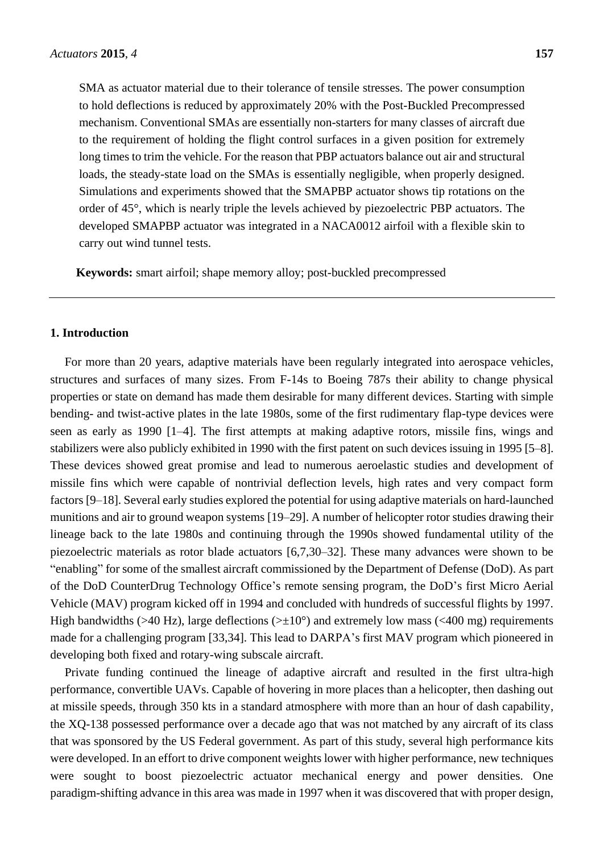SMA as actuator material due to their tolerance of tensile stresses. The power consumption to hold deflections is reduced by approximately 20% with the Post-Buckled Precompressed mechanism. Conventional SMAs are essentially non-starters for many classes of aircraft due to the requirement of holding the flight control surfaces in a given position for extremely long times to trim the vehicle. For the reason that PBP actuators balance out air and structural loads, the steady-state load on the SMAs is essentially negligible, when properly designed. Simulations and experiments showed that the SMAPBP actuator shows tip rotations on the order of 45°, which is nearly triple the levels achieved by piezoelectric PBP actuators. The developed SMAPBP actuator was integrated in a NACA0012 airfoil with a flexible skin to carry out wind tunnel tests.

**Keywords:** smart airfoil; shape memory alloy; post-buckled precompressed

## **1. Introduction**

For more than 20 years, adaptive materials have been regularly integrated into aerospace vehicles, structures and surfaces of many sizes. From F-14s to Boeing 787s their ability to change physical properties or state on demand has made them desirable for many different devices. Starting with simple bending- and twist-active plates in the late 1980s, some of the first rudimentary flap-type devices were seen as early as 1990 [1–4]. The first attempts at making adaptive rotors, missile fins, wings and stabilizers were also publicly exhibited in 1990 with the first patent on such devices issuing in 1995 [5–8]. These devices showed great promise and lead to numerous aeroelastic studies and development of missile fins which were capable of nontrivial deflection levels, high rates and very compact form factors [9–18]. Several early studies explored the potential for using adaptive materials on hard-launched munitions and air to ground weapon systems [19–29]. A number of helicopter rotor studies drawing their lineage back to the late 1980s and continuing through the 1990s showed fundamental utility of the piezoelectric materials as rotor blade actuators [6,7,30–32]. These many advances were shown to be "enabling" for some of the smallest aircraft commissioned by the Department of Defense (DoD). As part of the DoD CounterDrug Technology Office's remote sensing program, the DoD's first Micro Aerial Vehicle (MAV) program kicked off in 1994 and concluded with hundreds of successful flights by 1997. High bandwidths (>40 Hz), large deflections (> $\pm 10$ °) and extremely low mass (<400 mg) requirements made for a challenging program [33,34]. This lead to DARPA's first MAV program which pioneered in developing both fixed and rotary-wing subscale aircraft.

Private funding continued the lineage of adaptive aircraft and resulted in the first ultra-high performance, convertible UAVs. Capable of hovering in more places than a helicopter, then dashing out at missile speeds, through 350 kts in a standard atmosphere with more than an hour of dash capability, the XQ-138 possessed performance over a decade ago that was not matched by any aircraft of its class that was sponsored by the US Federal government. As part of this study, several high performance kits were developed. In an effort to drive component weights lower with higher performance, new techniques were sought to boost piezoelectric actuator mechanical energy and power densities. One paradigm-shifting advance in this area was made in 1997 when it was discovered that with proper design,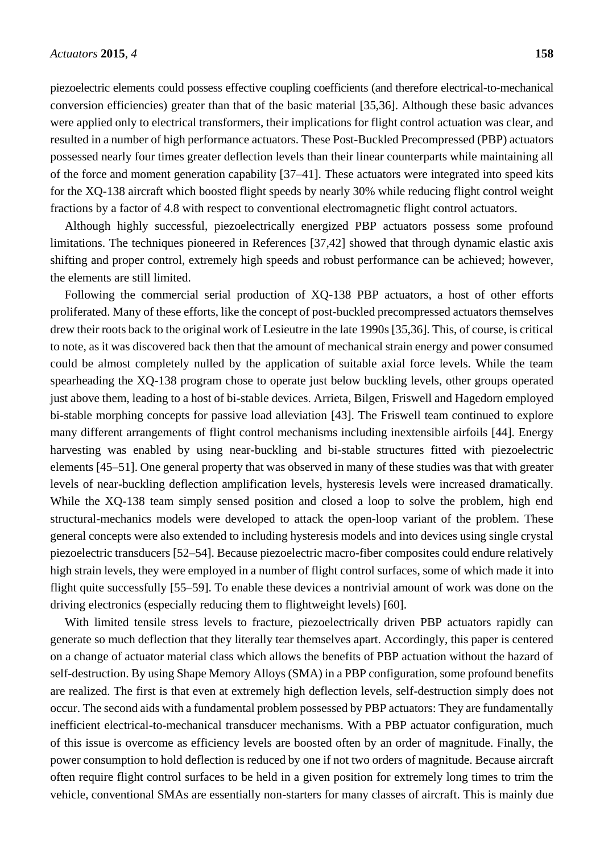piezoelectric elements could possess effective coupling coefficients (and therefore electrical-to-mechanical conversion efficiencies) greater than that of the basic material [35,36]. Although these basic advances were applied only to electrical transformers, their implications for flight control actuation was clear, and resulted in a number of high performance actuators. These Post-Buckled Precompressed (PBP) actuators possessed nearly four times greater deflection levels than their linear counterparts while maintaining all of the force and moment generation capability [37–41]. These actuators were integrated into speed kits for the XQ-138 aircraft which boosted flight speeds by nearly 30% while reducing flight control weight fractions by a factor of 4.8 with respect to conventional electromagnetic flight control actuators.

Although highly successful, piezoelectrically energized PBP actuators possess some profound limitations. The techniques pioneered in References [37,42] showed that through dynamic elastic axis shifting and proper control, extremely high speeds and robust performance can be achieved; however, the elements are still limited.

Following the commercial serial production of XQ-138 PBP actuators, a host of other efforts proliferated. Many of these efforts, like the concept of post-buckled precompressed actuators themselves drew their roots back to the original work of Lesieutre in the late 1990s [35,36]. This, of course, is critical to note, as it was discovered back then that the amount of mechanical strain energy and power consumed could be almost completely nulled by the application of suitable axial force levels. While the team spearheading the XQ-138 program chose to operate just below buckling levels, other groups operated just above them, leading to a host of bi-stable devices. Arrieta, Bilgen, Friswell and Hagedorn employed bi-stable morphing concepts for passive load alleviation [43]. The Friswell team continued to explore many different arrangements of flight control mechanisms including inextensible airfoils [44]. Energy harvesting was enabled by using near-buckling and bi-stable structures fitted with piezoelectric elements [45–51]. One general property that was observed in many of these studies was that with greater levels of near-buckling deflection amplification levels, hysteresis levels were increased dramatically. While the XQ-138 team simply sensed position and closed a loop to solve the problem, high end structural-mechanics models were developed to attack the open-loop variant of the problem. These general concepts were also extended to including hysteresis models and into devices using single crystal piezoelectric transducers [52–54]. Because piezoelectric macro-fiber composites could endure relatively high strain levels, they were employed in a number of flight control surfaces, some of which made it into flight quite successfully [55–59]. To enable these devices a nontrivial amount of work was done on the driving electronics (especially reducing them to flightweight levels) [60].

With limited tensile stress levels to fracture, piezoelectrically driven PBP actuators rapidly can generate so much deflection that they literally tear themselves apart. Accordingly, this paper is centered on a change of actuator material class which allows the benefits of PBP actuation without the hazard of self-destruction. By using Shape Memory Alloys (SMA) in a PBP configuration, some profound benefits are realized. The first is that even at extremely high deflection levels, self-destruction simply does not occur. The second aids with a fundamental problem possessed by PBP actuators: They are fundamentally inefficient electrical-to-mechanical transducer mechanisms. With a PBP actuator configuration, much of this issue is overcome as efficiency levels are boosted often by an order of magnitude. Finally, the power consumption to hold deflection is reduced by one if not two orders of magnitude. Because aircraft often require flight control surfaces to be held in a given position for extremely long times to trim the vehicle, conventional SMAs are essentially non-starters for many classes of aircraft. This is mainly due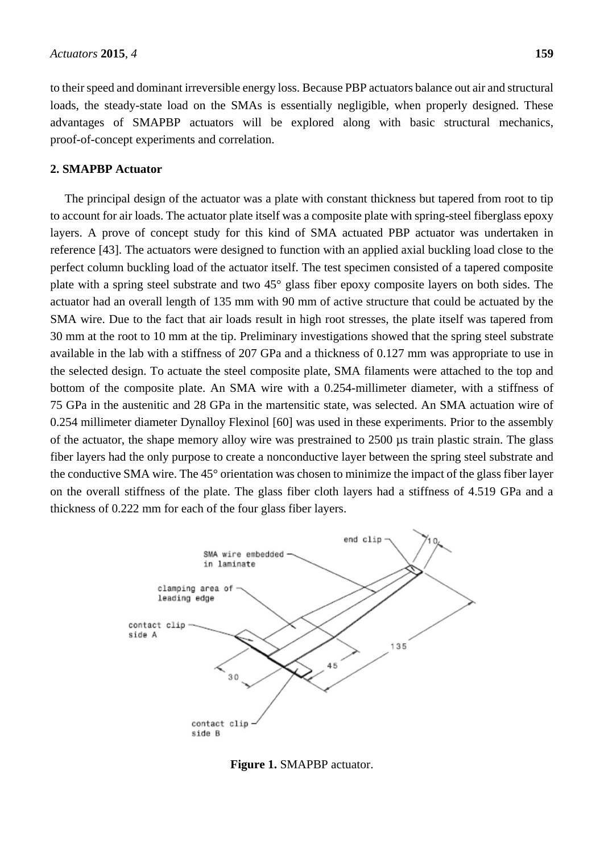to their speed and dominant irreversible energy loss. Because PBP actuators balance out air and structural loads, the steady-state load on the SMAs is essentially negligible, when properly designed. These advantages of SMAPBP actuators will be explored along with basic structural mechanics, proof-of-concept experiments and correlation.

## **2. SMAPBP Actuator**

The principal design of the actuator was a plate with constant thickness but tapered from root to tip to account for air loads. The actuator plate itself was a composite plate with spring-steel fiberglass epoxy layers. A prove of concept study for this kind of SMA actuated PBP actuator was undertaken in reference [43]. The actuators were designed to function with an applied axial buckling load close to the perfect column buckling load of the actuator itself. The test specimen consisted of a tapered composite plate with a spring steel substrate and two 45° glass fiber epoxy composite layers on both sides. The actuator had an overall length of 135 mm with 90 mm of active structure that could be actuated by the SMA wire. Due to the fact that air loads result in high root stresses, the plate itself was tapered from 30 mm at the root to 10 mm at the tip. Preliminary investigations showed that the spring steel substrate available in the lab with a stiffness of 207 GPa and a thickness of 0.127 mm was appropriate to use in the selected design. To actuate the steel composite plate, SMA filaments were attached to the top and bottom of the composite plate. An SMA wire with a 0.254-millimeter diameter, with a stiffness of 75 GPa in the austenitic and 28 GPa in the martensitic state, was selected. An SMA actuation wire of 0.254 millimeter diameter Dynalloy Flexinol [60] was used in these experiments. Prior to the assembly of the actuator, the shape memory alloy wire was prestrained to 2500 µs train plastic strain. The glass fiber layers had the only purpose to create a nonconductive layer between the spring steel substrate and the conductive SMA wire. The 45° orientation was chosen to minimize the impact of the glass fiber layer on the overall stiffness of the plate. The glass fiber cloth layers had a stiffness of 4.519 GPa and a thickness of 0.222 mm for each of the four glass fiber layers.



**Figure 1.** SMAPBP actuator.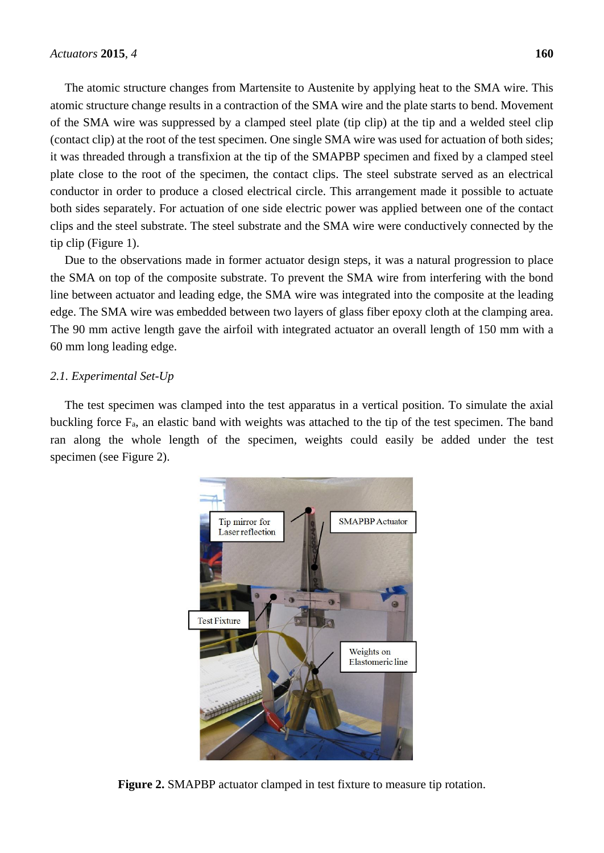The atomic structure changes from Martensite to Austenite by applying heat to the SMA wire. This atomic structure change results in a contraction of the SMA wire and the plate starts to bend. Movement of the SMA wire was suppressed by a clamped steel plate (tip clip) at the tip and a welded steel clip (contact clip) at the root of the test specimen. One single SMA wire was used for actuation of both sides; it was threaded through a transfixion at the tip of the SMAPBP specimen and fixed by a clamped steel plate close to the root of the specimen, the contact clips. The steel substrate served as an electrical conductor in order to produce a closed electrical circle. This arrangement made it possible to actuate both sides separately. For actuation of one side electric power was applied between one of the contact clips and the steel substrate. The steel substrate and the SMA wire were conductively connected by the tip clip (Figure 1).

Due to the observations made in former actuator design steps, it was a natural progression to place the SMA on top of the composite substrate. To prevent the SMA wire from interfering with the bond line between actuator and leading edge, the SMA wire was integrated into the composite at the leading edge. The SMA wire was embedded between two layers of glass fiber epoxy cloth at the clamping area. The 90 mm active length gave the airfoil with integrated actuator an overall length of 150 mm with a 60 mm long leading edge.

## *2.1. Experimental Set-Up*

The test specimen was clamped into the test apparatus in a vertical position. To simulate the axial buckling force  $F_a$ , an elastic band with weights was attached to the tip of the test specimen. The band ran along the whole length of the specimen, weights could easily be added under the test specimen (see Figure 2).



**Figure 2.** SMAPBP actuator clamped in test fixture to measure tip rotation.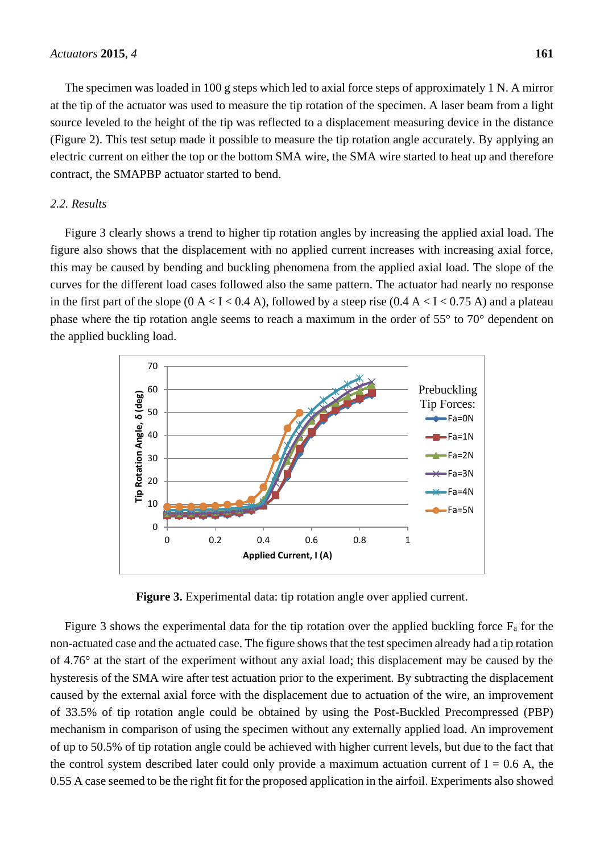The specimen was loaded in 100 g steps which led to axial force steps of approximately 1 N. A mirror at the tip of the actuator was used to measure the tip rotation of the specimen. A laser beam from a light source leveled to the height of the tip was reflected to a displacement measuring device in the distance (Figure 2). This test setup made it possible to measure the tip rotation angle accurately. By applying an electric current on either the top or the bottom SMA wire, the SMA wire started to heat up and therefore contract, the SMAPBP actuator started to bend.

## *2.2. Results*

Figure 3 clearly shows a trend to higher tip rotation angles by increasing the applied axial load. The figure also shows that the displacement with no applied current increases with increasing axial force, this may be caused by bending and buckling phenomena from the applied axial load. The slope of the curves for the different load cases followed also the same pattern. The actuator had nearly no response in the first part of the slope  $(0 A < I < 0.4 A)$ , followed by a steep rise  $(0.4 A < I < 0.75 A)$  and a plateau phase where the tip rotation angle seems to reach a maximum in the order of 55° to 70° dependent on the applied buckling load.



**Figure 3.** Experimental data: tip rotation angle over applied current.

Figure 3 shows the experimental data for the tip rotation over the applied buckling force  $F_a$  for the non-actuated case and the actuated case. The figure shows that the test specimen already had a tip rotation of 4.76° at the start of the experiment without any axial load; this displacement may be caused by the hysteresis of the SMA wire after test actuation prior to the experiment. By subtracting the displacement caused by the external axial force with the displacement due to actuation of the wire, an improvement of 33.5% of tip rotation angle could be obtained by using the Post-Buckled Precompressed (PBP) mechanism in comparison of using the specimen without any externally applied load. An improvement of up to 50.5% of tip rotation angle could be achieved with higher current levels, but due to the fact that the control system described later could only provide a maximum actuation current of  $I = 0.6$  A, the 0.55 A case seemed to be the right fit for the proposed application in the airfoil. Experiments also showed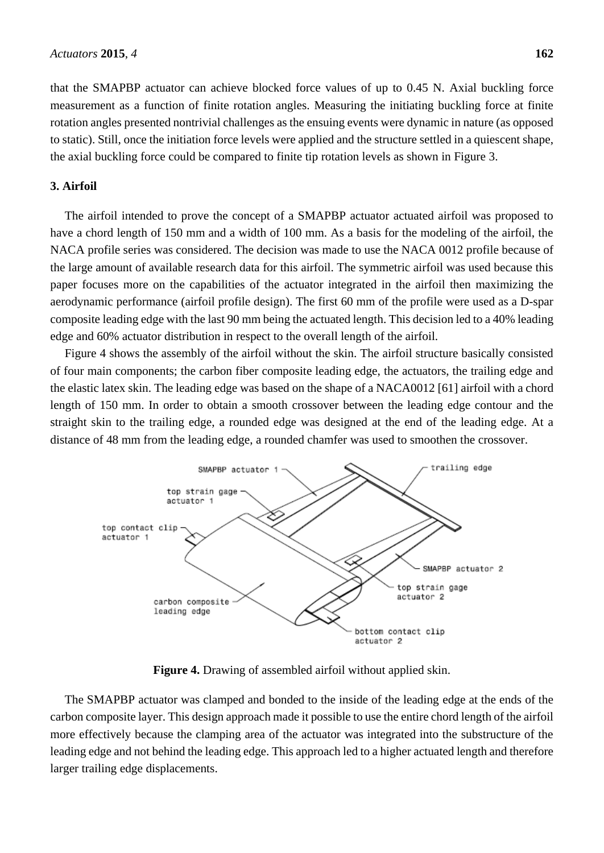that the SMAPBP actuator can achieve blocked force values of up to 0.45 N. Axial buckling force measurement as a function of finite rotation angles. Measuring the initiating buckling force at finite rotation angles presented nontrivial challenges as the ensuing events were dynamic in nature (as opposed to static). Still, once the initiation force levels were applied and the structure settled in a quiescent shape, the axial buckling force could be compared to finite tip rotation levels as shown in Figure 3.

## **3. Airfoil**

The airfoil intended to prove the concept of a SMAPBP actuator actuated airfoil was proposed to have a chord length of 150 mm and a width of 100 mm. As a basis for the modeling of the airfoil, the NACA profile series was considered. The decision was made to use the NACA 0012 profile because of the large amount of available research data for this airfoil. The symmetric airfoil was used because this paper focuses more on the capabilities of the actuator integrated in the airfoil then maximizing the aerodynamic performance (airfoil profile design). The first 60 mm of the profile were used as a D-spar composite leading edge with the last 90 mm being the actuated length. This decision led to a 40% leading edge and 60% actuator distribution in respect to the overall length of the airfoil.

Figure 4 shows the assembly of the airfoil without the skin. The airfoil structure basically consisted of four main components; the carbon fiber composite leading edge, the actuators, the trailing edge and the elastic latex skin. The leading edge was based on the shape of a NACA0012 [61] airfoil with a chord length of 150 mm. In order to obtain a smooth crossover between the leading edge contour and the straight skin to the trailing edge, a rounded edge was designed at the end of the leading edge. At a distance of 48 mm from the leading edge, a rounded chamfer was used to smoothen the crossover.



**Figure 4.** Drawing of assembled airfoil without applied skin.

The SMAPBP actuator was clamped and bonded to the inside of the leading edge at the ends of the carbon composite layer. This design approach made it possible to use the entire chord length of the airfoil more effectively because the clamping area of the actuator was integrated into the substructure of the leading edge and not behind the leading edge. This approach led to a higher actuated length and therefore larger trailing edge displacements.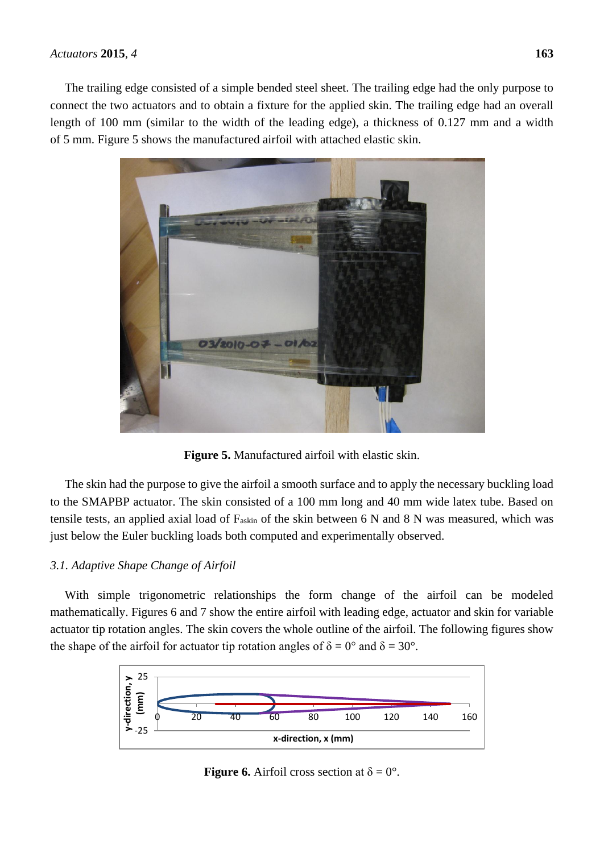## *Actuators* **2015**, *4* **163**

The trailing edge consisted of a simple bended steel sheet. The trailing edge had the only purpose to connect the two actuators and to obtain a fixture for the applied skin. The trailing edge had an overall length of 100 mm (similar to the width of the leading edge), a thickness of 0.127 mm and a width of 5 mm. Figure 5 shows the manufactured airfoil with attached elastic skin.



**Figure 5.** Manufactured airfoil with elastic skin.

The skin had the purpose to give the airfoil a smooth surface and to apply the necessary buckling load to the SMAPBP actuator. The skin consisted of a 100 mm long and 40 mm wide latex tube. Based on tensile tests, an applied axial load of Faskin of the skin between 6 N and 8 N was measured, which was just below the Euler buckling loads both computed and experimentally observed.

# *3.1. Adaptive Shape Change of Airfoil*

With simple trigonometric relationships the form change of the airfoil can be modeled mathematically. Figures 6 and 7 show the entire airfoil with leading edge, actuator and skin for variable actuator tip rotation angles. The skin covers the whole outline of the airfoil. The following figures show the shape of the airfoil for actuator tip rotation angles of  $\delta = 0^{\circ}$  and  $\delta = 30^{\circ}$ .



**Figure 6.** Airfoil cross section at  $\delta = 0$ °.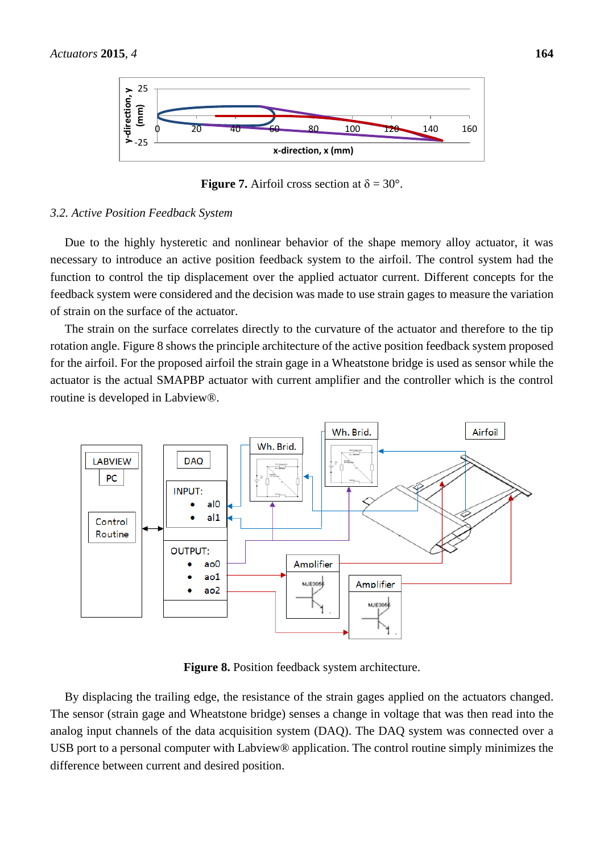

**Figure 7.** Airfoil cross section at  $\delta = 30^{\circ}$ .

## *3.2. Active Position Feedback System*

Due to the highly hysteretic and nonlinear behavior of the shape memory alloy actuator, it was necessary to introduce an active position feedback system to the airfoil. The control system had the function to control the tip displacement over the applied actuator current. Different concepts for the feedback system were considered and the decision was made to use strain gages to measure the variation of strain on the surface of the actuator.

The strain on the surface correlates directly to the curvature of the actuator and therefore to the tip rotation angle. Figure 8 shows the principle architecture of the active position feedback system proposed for the airfoil. For the proposed airfoil the strain gage in a Wheatstone bridge is used as sensor while the actuator is the actual SMAPBP actuator with current amplifier and the controller which is the control routine is developed in Labview®.



**Figure 8.** Position feedback system architecture.

By displacing the trailing edge, the resistance of the strain gages applied on the actuators changed. The sensor (strain gage and Wheatstone bridge) senses a change in voltage that was then read into the analog input channels of the data acquisition system (DAQ). The DAQ system was connected over a USB port to a personal computer with Labview® application. The control routine simply minimizes the difference between current and desired position.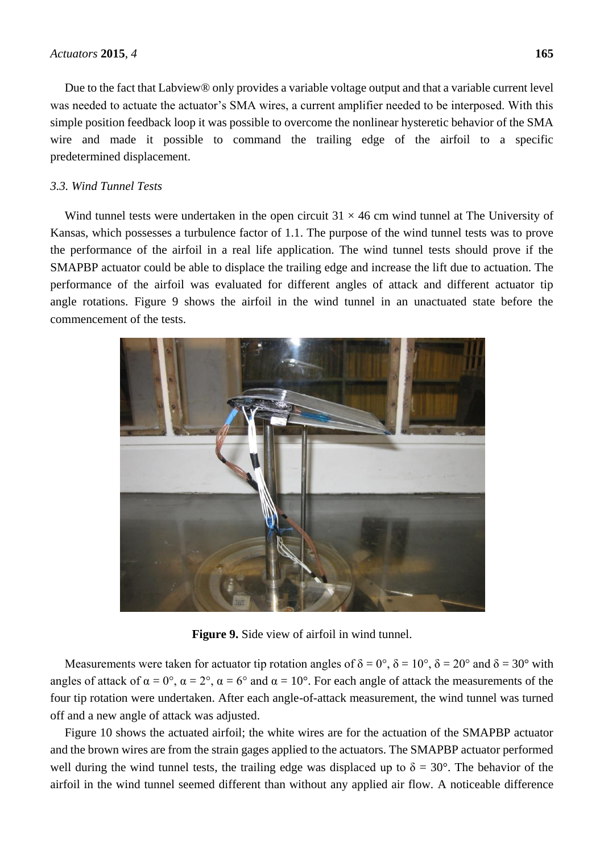Due to the fact that Labview® only provides a variable voltage output and that a variable current level was needed to actuate the actuator's SMA wires, a current amplifier needed to be interposed. With this simple position feedback loop it was possible to overcome the nonlinear hysteretic behavior of the SMA wire and made it possible to command the trailing edge of the airfoil to a specific predetermined displacement.

# *3.3. Wind Tunnel Tests*

Wind tunnel tests were undertaken in the open circuit  $31 \times 46$  cm wind tunnel at The University of Kansas, which possesses a turbulence factor of 1.1. The purpose of the wind tunnel tests was to prove the performance of the airfoil in a real life application. The wind tunnel tests should prove if the SMAPBP actuator could be able to displace the trailing edge and increase the lift due to actuation. The performance of the airfoil was evaluated for different angles of attack and different actuator tip angle rotations. Figure 9 shows the airfoil in the wind tunnel in an unactuated state before the commencement of the tests.



**Figure 9.** Side view of airfoil in wind tunnel.

Measurements were taken for actuator tip rotation angles of  $\delta = 0^\circ$ ,  $\delta = 10^\circ$ ,  $\delta = 20^\circ$  and  $\delta = 30^\circ$  with angles of attack of  $\alpha = 0^{\circ}$ ,  $\alpha = 2^{\circ}$ ,  $\alpha = 6^{\circ}$  and  $\alpha = 10^{\circ}$ . For each angle of attack the measurements of the four tip rotation were undertaken. After each angle-of-attack measurement, the wind tunnel was turned off and a new angle of attack was adjusted.

Figure 10 shows the actuated airfoil; the white wires are for the actuation of the SMAPBP actuator and the brown wires are from the strain gages applied to the actuators. The SMAPBP actuator performed well during the wind tunnel tests, the trailing edge was displaced up to  $\delta = 30^{\circ}$ . The behavior of the airfoil in the wind tunnel seemed different than without any applied air flow. A noticeable difference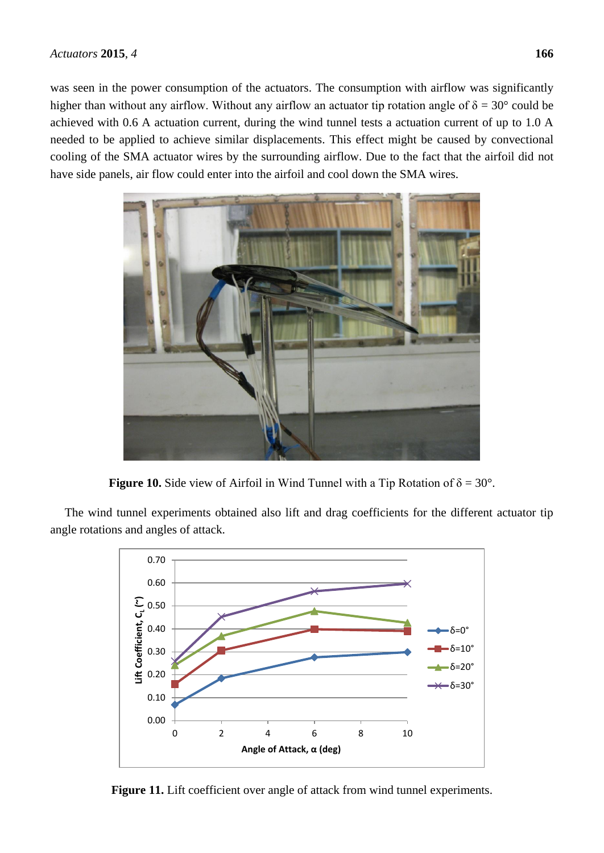was seen in the power consumption of the actuators. The consumption with airflow was significantly higher than without any airflow. Without any airflow an actuator tip rotation angle of  $\delta = 30^{\circ}$  could be achieved with 0.6 A actuation current, during the wind tunnel tests a actuation current of up to 1.0 A needed to be applied to achieve similar displacements. This effect might be caused by convectional cooling of the SMA actuator wires by the surrounding airflow. Due to the fact that the airfoil did not have side panels, air flow could enter into the airfoil and cool down the SMA wires.



**Figure 10.** Side view of Airfoil in Wind Tunnel with a Tip Rotation of  $\delta = 30^{\circ}$ .

The wind tunnel experiments obtained also lift and drag coefficients for the different actuator tip angle rotations and angles of attack.



Figure 11. Lift coefficient over angle of attack from wind tunnel experiments.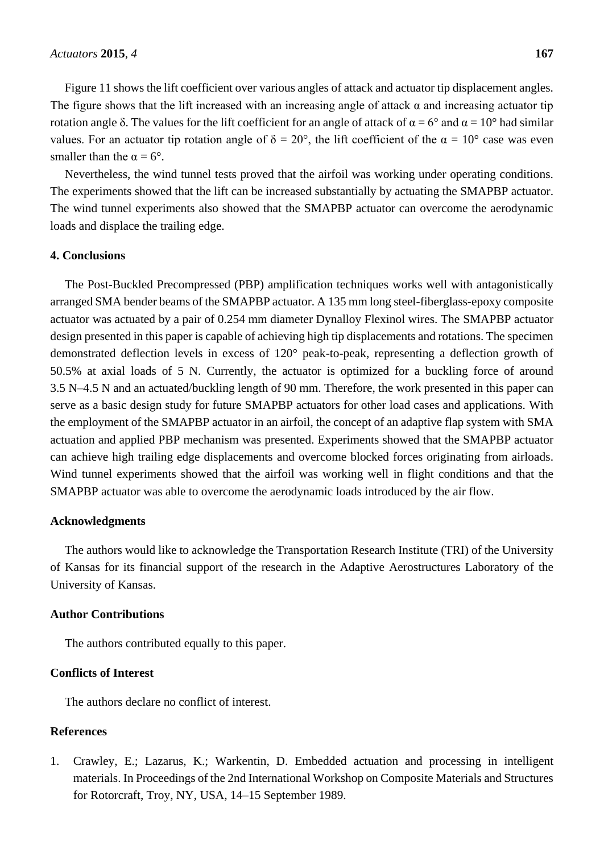Figure 11 shows the lift coefficient over various angles of attack and actuator tip displacement angles. The figure shows that the lift increased with an increasing angle of attack  $\alpha$  and increasing actuator tip rotation angle δ. The values for the lift coefficient for an angle of attack of  $\alpha = 6^{\circ}$  and  $\alpha = 10^{\circ}$  had similar values. For an actuator tip rotation angle of  $\delta = 20^{\circ}$ , the lift coefficient of the  $\alpha = 10^{\circ}$  case was even smaller than the  $\alpha = 6^\circ$ .

Nevertheless, the wind tunnel tests proved that the airfoil was working under operating conditions. The experiments showed that the lift can be increased substantially by actuating the SMAPBP actuator. The wind tunnel experiments also showed that the SMAPBP actuator can overcome the aerodynamic loads and displace the trailing edge.

# **4. Conclusions**

The Post-Buckled Precompressed (PBP) amplification techniques works well with antagonistically arranged SMA bender beams of the SMAPBP actuator. A 135 mm long steel-fiberglass-epoxy composite actuator was actuated by a pair of 0.254 mm diameter Dynalloy Flexinol wires. The SMAPBP actuator design presented in this paper is capable of achieving high tip displacements and rotations. The specimen demonstrated deflection levels in excess of 120° peak-to-peak, representing a deflection growth of 50.5% at axial loads of 5 N. Currently, the actuator is optimized for a buckling force of around 3.5 N–4.5 N and an actuated/buckling length of 90 mm. Therefore, the work presented in this paper can serve as a basic design study for future SMAPBP actuators for other load cases and applications. With the employment of the SMAPBP actuator in an airfoil, the concept of an adaptive flap system with SMA actuation and applied PBP mechanism was presented. Experiments showed that the SMAPBP actuator can achieve high trailing edge displacements and overcome blocked forces originating from airloads. Wind tunnel experiments showed that the airfoil was working well in flight conditions and that the SMAPBP actuator was able to overcome the aerodynamic loads introduced by the air flow.

#### **Acknowledgments**

The authors would like to acknowledge the Transportation Research Institute (TRI) of the University of Kansas for its financial support of the research in the Adaptive Aerostructures Laboratory of the University of Kansas.

## **Author Contributions**

The authors contributed equally to this paper.

# **Conflicts of Interest**

The authors declare no conflict of interest.

## **References**

1. Crawley, E.; Lazarus, K.; Warkentin, D. Embedded actuation and processing in intelligent materials. In Proceedings of the 2nd International Workshop on Composite Materials and Structures for Rotorcraft, Troy, NY, USA, 14–15 September 1989.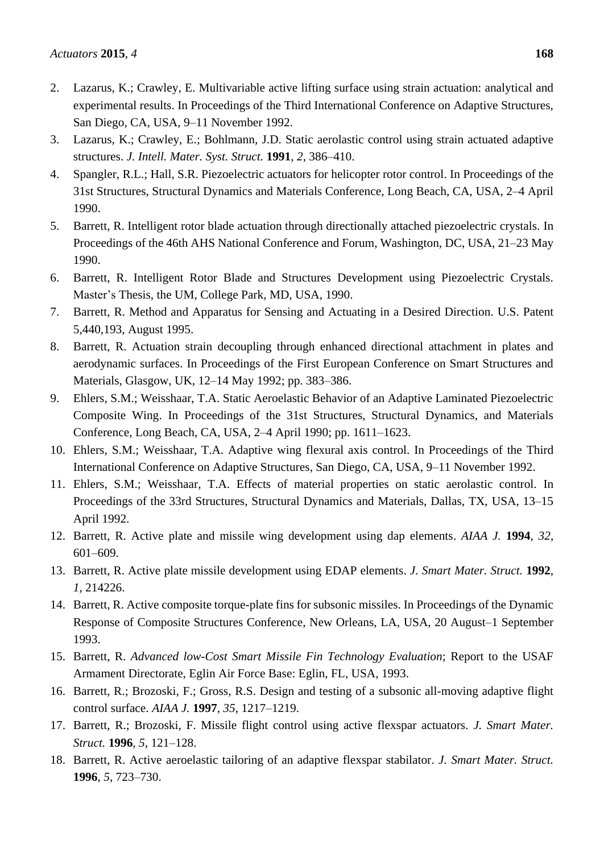- 2. Lazarus, K.; Crawley, E. Multivariable active lifting surface using strain actuation: analytical and experimental results. In Proceedings of the Third International Conference on Adaptive Structures, San Diego, CA, USA, 9–11 November 1992.
- 3. Lazarus, K.; Crawley, E.; Bohlmann, J.D. Static aerolastic control using strain actuated adaptive structures. *J. Intell. Mater. Syst. Struct.* **1991**, *2*, 386–410.
- 4. Spangler, R.L.; Hall, S.R. Piezoelectric actuators for helicopter rotor control. In Proceedings of the 31st Structures, Structural Dynamics and Materials Conference, Long Beach, CA, USA, 2–4 April 1990.
- 5. Barrett, R. Intelligent rotor blade actuation through directionally attached piezoelectric crystals. In Proceedings of the 46th AHS National Conference and Forum, Washington, DC, USA, 21–23 May 1990.
- 6. Barrett, R. Intelligent Rotor Blade and Structures Development using Piezoelectric Crystals. Master's Thesis, the UM, College Park, MD, USA, 1990.
- 7. Barrett, R. Method and Apparatus for Sensing and Actuating in a Desired Direction. U.S. Patent 5,440,193, August 1995.
- 8. Barrett, R. Actuation strain decoupling through enhanced directional attachment in plates and aerodynamic surfaces. In Proceedings of the First European Conference on Smart Structures and Materials, Glasgow, UK, 12–14 May 1992; pp. 383–386.
- 9. Ehlers, S.M.; Weisshaar, T.A. Static Aeroelastic Behavior of an Adaptive Laminated Piezoelectric Composite Wing. In Proceedings of the 31st Structures, Structural Dynamics, and Materials Conference, Long Beach, CA, USA, 2–4 April 1990; pp. 1611–1623.
- 10. Ehlers, S.M.; Weisshaar, T.A. Adaptive wing flexural axis control. In Proceedings of the Third International Conference on Adaptive Structures, San Diego, CA, USA, 9–11 November 1992.
- 11. Ehlers, S.M.; Weisshaar, T.A. Effects of material properties on static aerolastic control. In Proceedings of the 33rd Structures, Structural Dynamics and Materials, Dallas, TX, USA, 13–15 April 1992.
- 12. Barrett, R. Active plate and missile wing development using dap elements. *AIAA J.* **1994**, *32*, 601–609.
- 13. Barrett, R. Active plate missile development using EDAP elements. *J. Smart Mater. Struct.* **1992**, *1*, 214226.
- 14. Barrett, R. Active composite torque-plate fins for subsonic missiles. In Proceedings of the Dynamic Response of Composite Structures Conference, New Orleans, LA, USA, 20 August–1 September 1993.
- 15. Barrett, R. *Advanced low-Cost Smart Missile Fin Technology Evaluation*; Report to the USAF Armament Directorate, Eglin Air Force Base: Eglin, FL, USA, 1993.
- 16. Barrett, R.; Brozoski, F.; Gross, R.S. Design and testing of a subsonic all-moving adaptive flight control surface. *AIAA J.* **1997**, *35*, 1217–1219.
- 17. Barrett, R.; Brozoski, F. Missile flight control using active flexspar actuators. *J. Smart Mater. Struct.* **1996**, *5*, 121–128.
- 18. Barrett, R. Active aeroelastic tailoring of an adaptive flexspar stabilator. *J. Smart Mater. Struct.* **1996**, *5*, 723–730.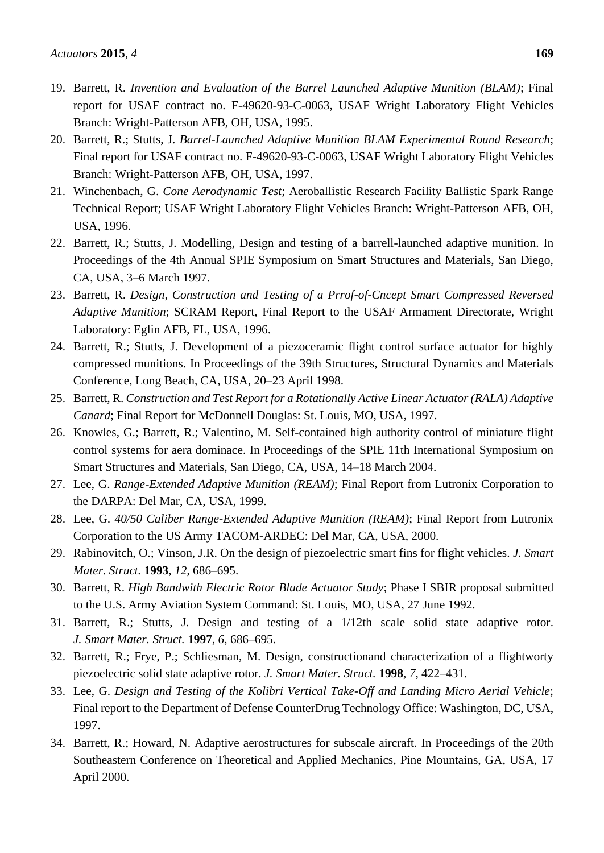- 19. Barrett, R. *Invention and Evaluation of the Barrel Launched Adaptive Munition (BLAM)*; Final report for USAF contract no. F-49620-93-C-0063, USAF Wright Laboratory Flight Vehicles Branch: Wright-Patterson AFB, OH, USA, 1995.
- 20. Barrett, R.; Stutts, J. *Barrel-Launched Adaptive Munition BLAM Experimental Round Research*; Final report for USAF contract no. F-49620-93-C-0063, USAF Wright Laboratory Flight Vehicles Branch: Wright-Patterson AFB, OH, USA, 1997.
- 21. Winchenbach, G. *Cone Aerodynamic Test*; Aeroballistic Research Facility Ballistic Spark Range Technical Report; USAF Wright Laboratory Flight Vehicles Branch: Wright-Patterson AFB, OH, USA, 1996.
- 22. Barrett, R.; Stutts, J. Modelling, Design and testing of a barrell-launched adaptive munition. In Proceedings of the 4th Annual SPIE Symposium on Smart Structures and Materials, San Diego, CA, USA, 3–6 March 1997.
- 23. Barrett, R. *Design, Construction and Testing of a Prrof-of-Cncept Smart Compressed Reversed Adaptive Munition*; SCRAM Report, Final Report to the USAF Armament Directorate, Wright Laboratory: Eglin AFB, FL, USA, 1996.
- 24. Barrett, R.; Stutts, J. Development of a piezoceramic flight control surface actuator for highly compressed munitions. In Proceedings of the 39th Structures, Structural Dynamics and Materials Conference, Long Beach, CA, USA, 20–23 April 1998.
- 25. Barrett, R. *Construction and Test Report for a Rotationally Active Linear Actuator (RALA) Adaptive Canard*; Final Report for McDonnell Douglas: St. Louis, MO, USA, 1997.
- 26. Knowles, G.; Barrett, R.; Valentino, M. Self-contained high authority control of miniature flight control systems for aera dominace. In Proceedings of the SPIE 11th International Symposium on Smart Structures and Materials, San Diego, CA, USA, 14–18 March 2004.
- 27. Lee, G. *Range-Extended Adaptive Munition (REAM)*; Final Report from Lutronix Corporation to the DARPA: Del Mar, CA, USA, 1999.
- 28. Lee, G. *40/50 Caliber Range-Extended Adaptive Munition (REAM)*; Final Report from Lutronix Corporation to the US Army TACOM-ARDEC: Del Mar, CA, USA, 2000.
- 29. Rabinovitch, O.; Vinson, J.R. On the design of piezoelectric smart fins for flight vehicles. *J. Smart Mater. Struct.* **1993**, *12*, 686–695.
- 30. Barrett, R. *High Bandwith Electric Rotor Blade Actuator Study*; Phase I SBIR proposal submitted to the U.S. Army Aviation System Command: St. Louis, MO, USA, 27 June 1992.
- 31. Barrett, R.; Stutts, J. Design and testing of a 1/12th scale solid state adaptive rotor. *J. Smart Mater. Struct.* **1997**, *6*, 686–695.
- 32. Barrett, R.; Frye, P.; Schliesman, M. Design, constructionand characterization of a flightworty piezoelectric solid state adaptive rotor. *J. Smart Mater. Struct.* **1998**, *7*, 422–431.
- 33. Lee, G. *Design and Testing of the Kolibri Vertical Take-Off and Landing Micro Aerial Vehicle*; Final report to the Department of Defense CounterDrug Technology Office: Washington, DC, USA, 1997.
- 34. Barrett, R.; Howard, N. Adaptive aerostructures for subscale aircraft. In Proceedings of the 20th Southeastern Conference on Theoretical and Applied Mechanics, Pine Mountains, GA, USA, 17 April 2000.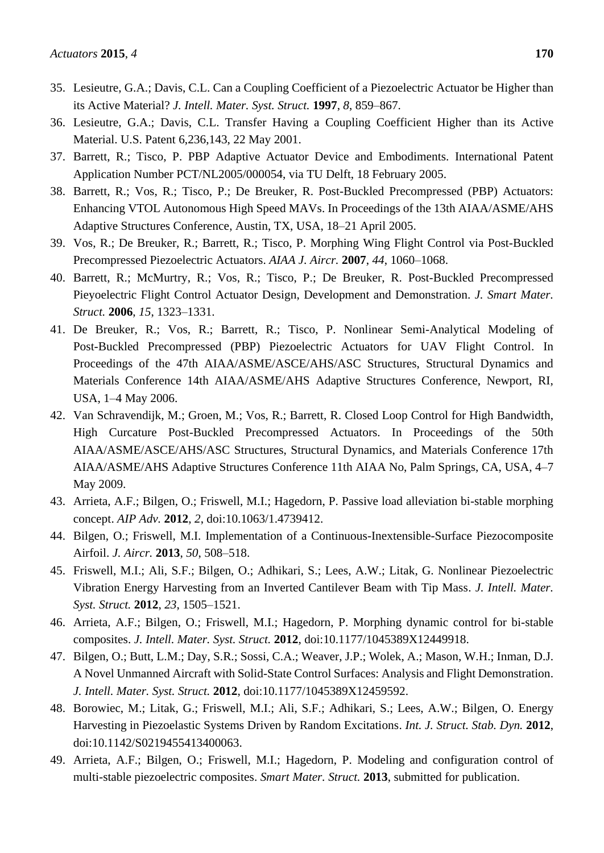- 35. Lesieutre, G.A.; Davis, C.L. Can a Coupling Coefficient of a Piezoelectric Actuator be Higher than its Active Material? *J. Intell. Mater. Syst. Struct.* **1997**, *8*, 859–867.
- 36. Lesieutre, G.A.; Davis, C.L. Transfer Having a Coupling Coefficient Higher than its Active Material. U.S. Patent 6,236,143, 22 May 2001.
- 37. Barrett, R.; Tisco, P. PBP Adaptive Actuator Device and Embodiments. International Patent Application Number PCT/NL2005/000054, via TU Delft, 18 February 2005.
- 38. Barrett, R.; Vos, R.; Tisco, P.; De Breuker, R. Post-Buckled Precompressed (PBP) Actuators: Enhancing VTOL Autonomous High Speed MAVs. In Proceedings of the 13th AIAA/ASME/AHS Adaptive Structures Conference, Austin, TX, USA, 18–21 April 2005.
- 39. Vos, R.; De Breuker, R.; Barrett, R.; Tisco, P. Morphing Wing Flight Control via Post-Buckled Precompressed Piezoelectric Actuators. *AIAA J. Aircr.* **2007**, *44*, 1060–1068.
- 40. Barrett, R.; McMurtry, R.; Vos, R.; Tisco, P.; De Breuker, R. Post-Buckled Precompressed Pieyoelectric Flight Control Actuator Design, Development and Demonstration. *J. Smart Mater. Struct.* **2006**, *15*, 1323–1331.
- 41. De Breuker, R.; Vos, R.; Barrett, R.; Tisco, P. Nonlinear Semi-Analytical Modeling of Post-Buckled Precompressed (PBP) Piezoelectric Actuators for UAV Flight Control. In Proceedings of the 47th AIAA/ASME/ASCE/AHS/ASC Structures, Structural Dynamics and Materials Conference 14th AIAA/ASME/AHS Adaptive Structures Conference, Newport, RI, USA, 1–4 May 2006.
- 42. Van Schravendijk, M.; Groen, M.; Vos, R.; Barrett, R. Closed Loop Control for High Bandwidth, High Curcature Post-Buckled Precompressed Actuators. In Proceedings of the 50th AIAA/ASME/ASCE/AHS/ASC Structures, Structural Dynamics, and Materials Conference 17th AIAA/ASME/AHS Adaptive Structures Conference 11th AIAA No, Palm Springs, CA, USA, 4–7 May 2009.
- 43. Arrieta, A.F.; Bilgen, O.; Friswell, M.I.; Hagedorn, P. Passive load alleviation bi-stable morphing concept. *AIP Adv.* **2012**, *2*, doi:10.1063/1.4739412.
- 44. Bilgen, O.; Friswell, M.I. Implementation of a Continuous-Inextensible-Surface Piezocomposite Airfoil. *J. Aircr.* **2013**, *50*, 508–518.
- 45. Friswell, M.I.; Ali, S.F.; Bilgen, O.; Adhikari, S.; Lees, A.W.; Litak, G. Nonlinear Piezoelectric Vibration Energy Harvesting from an Inverted Cantilever Beam with Tip Mass. *J. Intell. Mater. Syst. Struct.* **2012**, *23*, 1505–1521.
- 46. Arrieta, A.F.; Bilgen, O.; Friswell, M.I.; Hagedorn, P. Morphing dynamic control for bi-stable composites. *J. Intell. Mater. Syst. Struct.* **2012**, doi:10.1177/1045389X12449918.
- 47. Bilgen, O.; Butt, L.M.; Day, S.R.; Sossi, C.A.; Weaver, J.P.; Wolek, A.; Mason, W.H.; Inman, D.J. A Novel Unmanned Aircraft with Solid-State Control Surfaces: Analysis and Flight Demonstration. *J. Intell. Mater. Syst. Struct.* **2012**, doi:10.1177/1045389X12459592.
- 48. Borowiec, M.; Litak, G.; Friswell, M.I.; Ali, S.F.; Adhikari, S.; Lees, A.W.; Bilgen, O. Energy Harvesting in Piezoelastic Systems Driven by Random Excitations. *Int. J. Struct. Stab. Dyn.* **2012**, doi:10.1142/S0219455413400063.
- 49. Arrieta, A.F.; Bilgen, O.; Friswell, M.I.; Hagedorn, P. Modeling and configuration control of multi-stable piezoelectric composites. *Smart Mater. Struct.* **2013**, submitted for publication.